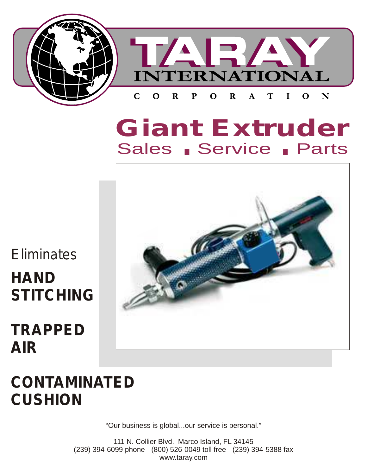

# **Giant Extruder** Sales Service Parts



# **TRAPPED AIR**



## **CONTAMINATED CUSHION**

"Our business is global...our service is personal."

111 N. Collier Blvd. Marco Island, FL 34145 (239) 394-6099 phone - (800) 526-0049 toll free - (239) 394-5388 fax www.taray.com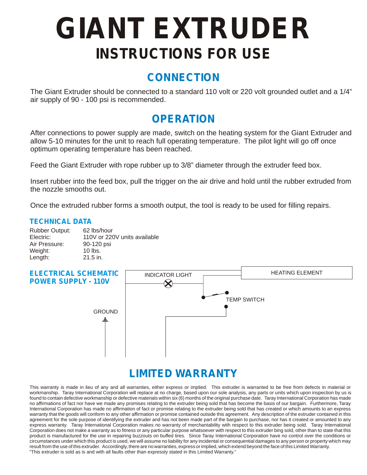# **GIANT EXTRUDER INSTRUCTIONS FOR USE**

## **CONNECTION**

The Giant Extruder should be connected to a standard 110 volt or 220 volt grounded outlet and a 1/4" air supply of 90 - 100 psi is recommended.

## **OPERATION**

After connections to power supply are made, switch on the heating system for the Giant Extruder and allow 5-10 minutes for the unit to reach full operating temperature. The pilot light will go off once optimum operating temperature has been reached.

Feed the Giant Extruder with rope rubber up to 3/8" diameter through the extruder feed box.

Insert rubber into the feed box, pull the trigger on the air drive and hold until the rubber extruded from the nozzle smooths out.

Once the extruded rubber forms a smooth output, the tool is ready to be used for filling repairs.

## *TECHNICAL DATA*

| <b>Rubber Output:</b> | 62 lbs/hour                  |
|-----------------------|------------------------------|
| Electric:             | 110V or 220V units available |
| Air Pressure:         | 90-120 psi                   |
| Weight:               | $10$ lbs.                    |
| Length:               | $21.5$ in.                   |



## **LIMITED WARRANTY**

This warranty is made in lieu of any and all warranties, either express or implied. This extruder is warranted to be free from defects in material or workmanship. Taray International Corporation will replace at no charge, based upon our sole analysis, any parts or units which upon inspection by us is found to contain defective workmanship or defective materials within six (6) months of the original purchase date. Taray International Corporation has made no affirmations of fact nor have we made any promises relating to the extruder being sold that has become the basis of our bargain. Furthermore, Taray International Corporation has made no affirmation of fact or promise relating to the extruder being sold that has created or which amounts to an express warranty that the goods will conform to any other affirmation or promise contained outside this agreement. Any description of the extruder contained in this agreement for the sole purpose of identifying the extruder and has not been made part of the bargain to purchase, nor has it created or amounted to any express warranty. Taray International Corporation makes no warranty of merchantability with respect to this extruder being sold. Taray International Corporation does not make a warranty as to fitness or any particular purpose whatsoever with respect to this extruder bing sold, other than to state that this product is manufactured for the use in repairing buzzouts on buffed tires. Since Taray International Corporation have no control over the conditions or circumstances under which this product is used, we will assume no liability for any incidental or consequential damages to any person or property which may result from the use of this extruder. Accordingly, there are no warranties, express or implied, which extend beyond the face of this Limited Warranty. "This extruder is sold as is and with all faults other than expressly stated in this Limited Warranty."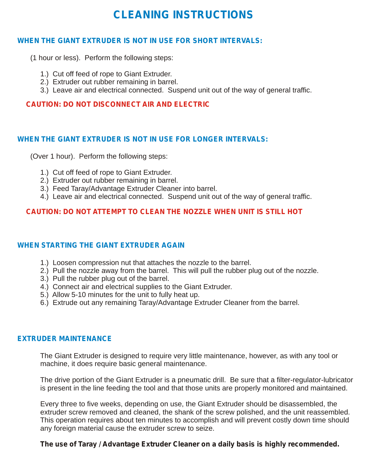## **CLEANING INSTRUCTIONS**

## **WHEN THE GIANT EXTRUDER IS NOT IN USE FOR SHORT INTERVALS:**

(1 hour or less). Perform the following steps:

- 1.) Cut off feed of rope to Giant Extruder.
- 2.) Extruder out rubber remaining in barrel.
- 3.) Leave air and electrical connected. Suspend unit out of the way of general traffic.

## **CAUTION: DO NOT DISCONNECT AIR AND ELECTRIC**

#### **WHEN THE GIANT EXTRUDER IS NOT IN USE FOR LONGER INTERVALS:**

(Over 1 hour). Perform the following steps:

- 1.) Cut off feed of rope to Giant Extruder.
- 2.) Extruder out rubber remaining in barrel.
- 3.) Feed Taray/Advantage Extruder Cleaner into barrel.
- 4.) Leave air and electrical connected. Suspend unit out of the way of general traffic.

## **CAUTION: DO NOT ATTEMPT TO CLEAN THE NOZZLE WHEN UNIT IS STILL HOT**

#### **WHEN STARTING THE GIANT EXTRUDER AGAIN**

- 1.) Loosen compression nut that attaches the nozzle to the barrel.
- 2.) Pull the nozzle away from the barrel. This will pull the rubber plug out of the nozzle.
- 3.) Pull the rubber plug out of the barrel.
- 4.) Connect air and electrical supplies to the Giant Extruder.
- 5.) Allow 5-10 minutes for the unit to fully heat up.
- 6.) Extrude out any remaining Taray/Advantage Extruder Cleaner from the barrel.

#### **EXTRUDER MAINTENANCE**

 The Giant Extruder is designed to require very little maintenance, however, as with any tool or machine, it does require basic general maintenance.

 The drive portion of the Giant Extruder is a pneumatic drill. Be sure that a filter-regulator-lubricator is present in the line feeding the tool and that those units are properly monitored and maintained.

 Every three to five weeks, depending on use, the Giant Extruder should be disassembled, the extruder screw removed and cleaned, the shank of the screw polished, and the unit reassembled. This operation requires about ten minutes to accomplish and will prevent costly down time should any foreign material cause the extruder screw to seize.

 **The use of Taray / Advantage Extruder Cleaner on a daily basis is highly recommended.**